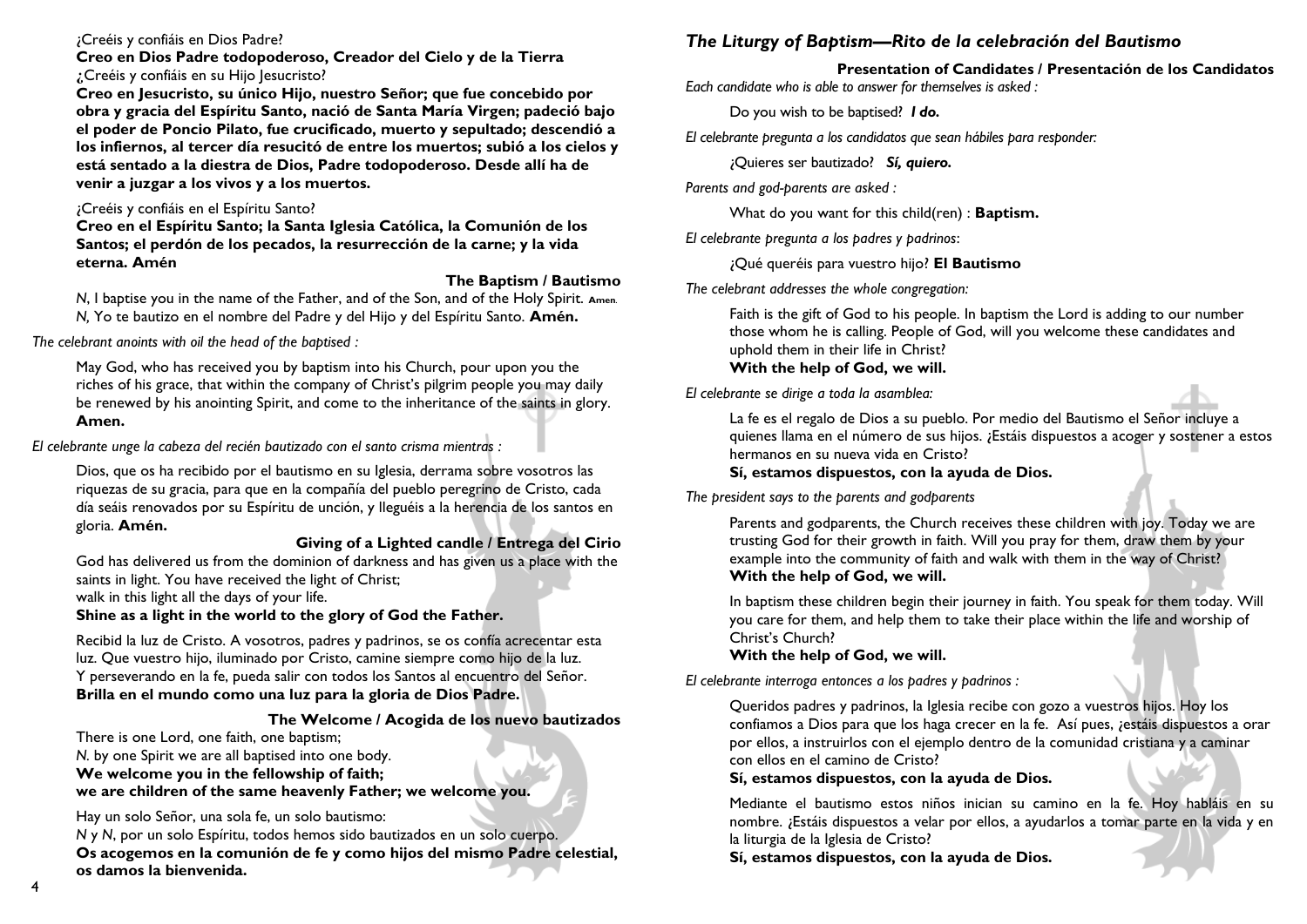## ¿Creéis y confiáis en Dios Padre?

#### **Creo en Dios Padre todopoderoso, Creador del Cielo y de la Tierra ¿**Creéis y confiáis en su Hijo Jesucristo?

**Creo en Jesucristo, su único Hijo, nuestro Señor; que fue concebido por obra y gracia del Espíritu Santo, nació de Santa María Virgen; padeció bajo el poder de Poncio Pilato, fue crucificado, muerto y sepultado; descendió a los infiernos, al tercer día resucitó de entre los muertos; subió a los cielos y está sentado a la diestra de Dios, Padre todopoderoso. Desde allí ha de venir a juzgar a los vivos y a los muertos.**

## ¿Creéis y confiáis en el Espíritu Santo?

**Creo en el Espíritu Santo; la Santa Iglesia Católica, la Comunión de los Santos; el perdón de los pecados, la resurrección de la carne; y la vida eterna. Amén**

#### **The Baptism / Bautismo**

*N*, I baptise you in the name of the Father, and of the Son, and of the Holy Spirit. **Amen**. *N,* Yo te bautizo en el nombre del Padre y del Hijo y del Espíritu Santo. **Amén.**

*The celebrant anoints with oil the head of the baptised :*

May God, who has received you by baptism into his Church, pour upon you the riches of his grace, that within the company of Christ's pilgrim people you may daily be renewed by his anointing Spirit, and come to the inheritance of the saints in glory. **Amen.**

*El celebrante unge la cabeza del recién bautizado con el santo crisma mientras :* 

Dios, que os ha recibido por el bautismo en su Iglesia, derrama sobre vosotros las riquezas de su gracia, para que en la compañía del pueblo peregrino de Cristo, cada día seáis renovados por su Espíritu de unción, y lleguéis a la herencia de los santos en gloria. **Amén.**

#### **Giving of a Lighted candle / Entrega del Cirio**

God has delivered us from the dominion of darkness and has given us a place with the saints in light. You have received the light of Christ;

walk in this light all the days of your life.

**Shine as a light in the world to the glory of God the Father.** 

Recibid la luz de Cristo. A vosotros, padres y padrinos, se os confía acrecentar esta luz. Que vuestro hijo, iluminado por Cristo, camine siempre como hijo de la luz. Y perseverando en la fe, pueda salir con todos los Santos al encuentro del Señor. **Brilla en el mundo como una luz para la gloria de Dios Padre.**

## **The Welcome / Acogida de los nuevo bautizados**

There is one Lord, one faith, one baptism;

*N.* by one Spirit we are all baptised into one body.

**We welcome you in the fellowship of faith;** 

**we are children of the same heavenly Father; we welcome you.**

Hay un solo Señor, una sola fe, un solo bautismo:

*N* y *N*, por un solo Espíritu, todos hemos sido bautizados en un solo cuerpo. **Os acogemos en la comunión de fe y como hijos del mismo Padre celestial, os damos la bienvenida.**

# *The Liturgy of Baptism—Rito de la celebración del Bautismo*

**Presentation of Candidates / Presentación de los Candidatos** *Each candidate who is able to answer for themselves is asked :* 

Do you wish to be baptised? *I do.*

*El celebrante pregunta a los candidatos que sean hábiles para responder:* 

¿Quieres ser bautizado? *Sí, quiero.*

*Parents and god-parents are asked :*

What do you want for this child(ren) : **Baptism.**

*El celebrante pregunta a los padres y padrinos*:

¿Qué queréis para vuestro hijo? **El Bautismo** 

*The celebrant addresses the whole congregation:*

Faith is the gift of God to his people. In baptism the Lord is adding to our number those whom he is calling. People of God, will you welcome these candidates and uphold them in their life in Christ? **With the help of God, we will.**

*El celebrante se dirige a toda la asamblea:*

La fe es el regalo de Dios a su pueblo. Por medio del Bautismo el Señor incluye a quienes llama en el número de sus hijos. ¿Estáis dispuestos a acoger y sostener a estos hermanos en su nueva vida en Cristo?

#### **Sí, estamos dispuestos, con la ayuda de Dios.**

*The president says to the parents and godparents*

Parents and godparents, the Church receives these children with joy. Today we are trusting God for their growth in faith. Will you pray for them, draw them by your example into the community of faith and walk with them in the way of Christ? **With the help of God, we will.**

In baptism these children begin their journey in faith. You speak for them today. Will you care for them, and help them to take their place within the life and worship of Christ's Church?

## **With the help of God, we will.**

*El celebrante interroga entonces a los padres y padrinos :*

Queridos padres y padrinos, la Iglesia recibe con gozo a vuestros hijos. Hoy los confiamos a Dios para que los haga crecer en la fe. Así pues, ¿estáis dispuestos a orar por ellos, a instruirlos con el ejemplo dentro de la comunidad cristiana y a caminar con ellos en el camino de Cristo?

## **Sí, estamos dispuestos, con la ayuda de Dios.**

Mediante el bautismo estos niños inician su camino en la fe. Hoy habláis en su nombre. ¿Estáis dispuestos a velar por ellos, a ayudarlos a tomar parte en la vida y en la liturgia de la Iglesia de Cristo?

**Sí, estamos dispuestos, con la ayuda de Dios.**